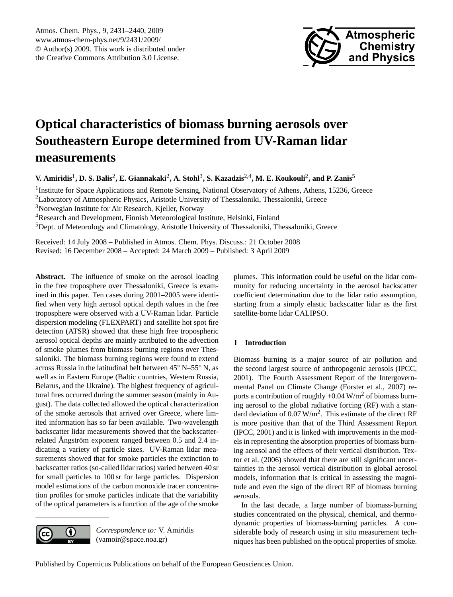

# <span id="page-0-0"></span>**Optical characteristics of biomass burning aerosols over Southeastern Europe determined from UV-Raman lidar measurements**

 $V.$  Amiridis<sup>1</sup>, D. S. Balis<sup>2</sup>, E. Giannakaki<sup>2</sup>, A. Stohl<sup>3</sup>, S. Kazadzis<sup>2,4</sup>, M. E. Koukouli<sup>2</sup>, and P. Zanis<sup>5</sup>

<sup>1</sup>Institute for Space Applications and Remote Sensing, National Observatory of Athens, Athens, 15236, Greece

<sup>2</sup>Laboratory of Atmospheric Physics, Aristotle University of Thessaloniki, Thessaloniki, Greece

<sup>3</sup>Norwegian Institute for Air Research, Kjeller, Norway

<sup>4</sup>Research and Development, Finnish Meteorological Institute, Helsinki, Finland

<sup>5</sup>Dept. of Meteorology and Climatology, Aristotle University of Thessaloniki, Thessaloniki, Greece

Received: 14 July 2008 – Published in Atmos. Chem. Phys. Discuss.: 21 October 2008 Revised: 16 December 2008 – Accepted: 24 March 2009 – Published: 3 April 2009

**Abstract.** The influence of smoke on the aerosol loading in the free troposphere over Thessaloniki, Greece is examined in this paper. Ten cases during 2001–2005 were identified when very high aerosol optical depth values in the free troposphere were observed with a UV-Raman lidar. Particle dispersion modeling (FLEXPART) and satellite hot spot fire detection (ATSR) showed that these high free tropospheric aerosol optical depths are mainly attributed to the advection of smoke plumes from biomass burning regions over Thessaloniki. The biomass burning regions were found to extend across Russia in the latitudinal belt between 45◦ N–55◦ N, as well as in Eastern Europe (Baltic countries, Western Russia, Belarus, and the Ukraine). The highest frequency of agricultural fires occurred during the summer season (mainly in August). The data collected allowed the optical characterization of the smoke aerosols that arrived over Greece, where limited information has so far been available. Two-wavelength backscatter lidar measurements showed that the backscatterrelated Ångström exponent ranged between 0.5 and 2.4 indicating a variety of particle sizes. UV-Raman lidar measurements showed that for smoke particles the extinction to backscatter ratios (so-called lidar ratios) varied between 40 sr for small particles to 100 sr for large particles. Dispersion model estimations of the carbon monoxide tracer concentration profiles for smoke particles indicate that the variability of the optical parameters is a function of the age of the smoke



*Correspondence to:* V. Amiridis (vamoir@space.noa.gr)

plumes. This information could be useful on the lidar community for reducing uncertainty in the aerosol backscatter coefficient determination due to the lidar ratio assumption, starting from a simply elastic backscatter lidar as the first satellite-borne lidar CALIPSO.

# **1 Introduction**

Biomass burning is a major source of air pollution and the second largest source of anthropogenic aerosols (IPCC, 2001). The Fourth Assessment Report of the Intergovernmental Panel on Climate Change (Forster et al., 2007) reports a contribution of roughly  $+0.04$  W/m<sup>2</sup> of biomass burning aerosol to the global radiative forcing (RF) with a standard deviation of  $0.07 \text{ W/m}^2$ . This estimate of the direct RF is more positive than that of the Third Assessment Report (IPCC, 2001) and it is linked with improvements in the models in representing the absorption properties of biomass burning aerosol and the effects of their vertical distribution. Textor et al. (2006) showed that there are still significant uncertainties in the aerosol vertical distribution in global aerosol models, information that is critical in assessing the magnitude and even the sign of the direct RF of biomass burning aerosols.

In the last decade, a large number of biomass-burning studies concentrated on the physical, chemical, and thermodynamic properties of biomass-burning particles. A considerable body of research using in situ measurement techniques has been published on the optical properties of smoke.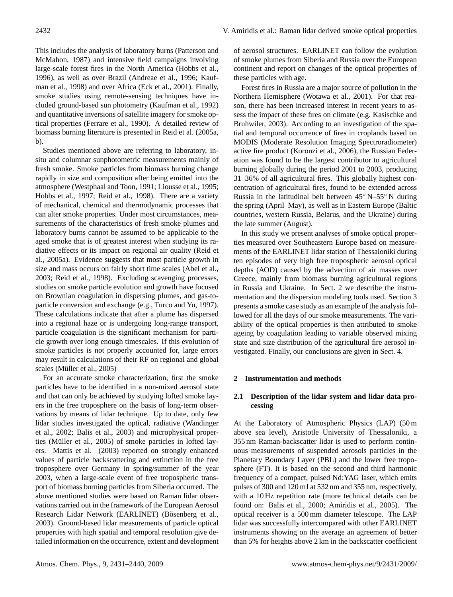This includes the analysis of laboratory burns (Patterson and McMahon, 1987) and intensive field campaigns involving large-scale forest fires in the North America (Hobbs et al., 1996), as well as over Brazil (Andreae et al., 1996; Kaufman et al., 1998) and over Africa (Eck et al., 2001). Finally, smoke studies using remote-sensing techniques have included ground-based sun photometry (Kaufman et al., 1992) and quantitative inversions of satellite imagery for smoke optical properties (Ferrare et al., 1990). A detailed review of biomass burning literature is presented in Reid et al. (2005a, b).

Studies mentioned above are referring to laboratory, insitu and columnar sunphotometric measurements mainly of fresh smoke. Smoke particles from biomass burning change rapidly in size and composition after being emitted into the atmosphere (Westphaal and Toon, 1991; Liousse et al., 1995; Hobbs et al., 1997; Reid et al., 1998). There are a variety of mechanical, chemical and thermodynamic processes that can alter smoke properties. Under most circumstances, measurements of the characteristics of fresh smoke plumes and laboratory burns cannot be assumed to be applicable to the aged smoke that is of greatest interest when studying its radiative effects or its impact on regional air quality (Reid et al., 2005a). Evidence suggests that most particle growth in size and mass occurs on fairly short time scales (Abel et al., 2003; Reid et al., 1998). Excluding scavenging processes, studies on smoke particle evolution and growth have focused on Brownian coagulation in dispersing plumes, and gas-toparticle conversion and exchange (e.g., Turco and Yu, 1997). These calculations indicate that after a plume has dispersed into a regional haze or is undergoing long-range transport, particle coagulation is the significant mechanism for particle growth over long enough timescales. If this evolution of smoke particles is not properly accounted for, large errors may result in calculations of their RF on regional and global scales (Müller et al., 2005)

For an accurate smoke characterization, first the smoke particles have to be identified in a non-mixed aerosol state and that can only be achieved by studying lofted smoke layers in the free troposphere on the basis of long-term observations by means of lidar technique. Up to date, only few lidar studies investigated the optical, radiative (Wandinger et al., 2002; Balis et al., 2003) and microphysical properties (Müller et al., 2005) of smoke particles in lofted layers. Mattis et al. (2003) reported on strongly enhanced values of particle backscattering and extinction in the free troposphere over Germany in spring/summer of the year 2003, when a large-scale event of free tropospheric transport of biomass burning particles from Siberia occurred. The above mentioned studies were based on Raman lidar observations carried out in the framework of the European Aerosol Research Lidar Network (EARLINET) (Bösenberg et al., 2003). Ground-based lidar measurements of particle optical properties with high spatial and temporal resolution give detailed information on the occurrence, extent and development of aerosol structures. EARLINET can follow the evolution of smoke plumes from Siberia and Russia over the European continent and report on changes of the optical properties of these particles with age.

Forest fires in Russia are a major source of pollution in the Northern Hemisphere (Wotawa et al., 2001). For that reason, there has been increased interest in recent years to assess the impact of these fires on climate (e.g. Kasischke and Bruhwiler, 2003). According to an investigation of the spatial and temporal occurrence of fires in croplands based on MODIS (Moderate Resolution Imaging Spectroradiometer) active fire product (Koronzi et al., 2006), the Russian Federation was found to be the largest contributor to agricultural burning globally during the period 2001 to 2003, producing 31–36% of all agricultural fires. This globally highest concentration of agricultural fires, found to be extended across Russia in the latitudinal belt between  $45° \text{ N} - 55° \text{ N}$  during the spring (April–May), as well as in Eastern Europe (Baltic countries, western Russia, Belarus, and the Ukraine) during the late summer (August).

In this study we present analyses of smoke optical properties measured over Southeastern Europe based on measurements of the EARLINET lidar station of Thessaloniki during ten episodes of very high free tropospheric aerosol optical depths (AOD) caused by the advection of air masses over Greece, mainly from biomass burning agricultural regions in Russia and Ukraine. In Sect. 2 we describe the instrumentation and the dispersion modeling tools used. Section 3 presents a smoke case study as an example of the analysis followed for all the days of our smoke measurements. The variability of the optical properties is then attributed to smoke ageing by coagulation leading to variable observed mixing state and size distribution of the agricultural fire aerosol investigated. Finally, our conclusions are given in Sect. 4.

#### **2 Instrumentation and methods**

## **2.1 Description of the lidar system and lidar data processing**

At the Laboratory of Atmospheric Physics (LAP) (50 m above sea level), Aristotle University of Thessaloniki, a 355 nm Raman-backscatter lidar is used to perform continuous measurements of suspended aerosols particles in the Planetary Boundary Layer (PBL) and the lower free troposphere (FT). It is based on the second and third harmonic frequency of a compact, pulsed Nd:YAG laser, which emits pulses of 300 and 120 mJ at 532 nm and 355 nm, respectively, with a 10 Hz repetition rate (more technical details can be found on: Balis et al., 2000; Amiridis et al., 2005). The optical receiver is a 500 mm diameter telescope. The LAP lidar was successfully intercompared with other EARLINET instruments showing on the average an agreement of better than 5% for heights above 2 km in the backscatter coefficient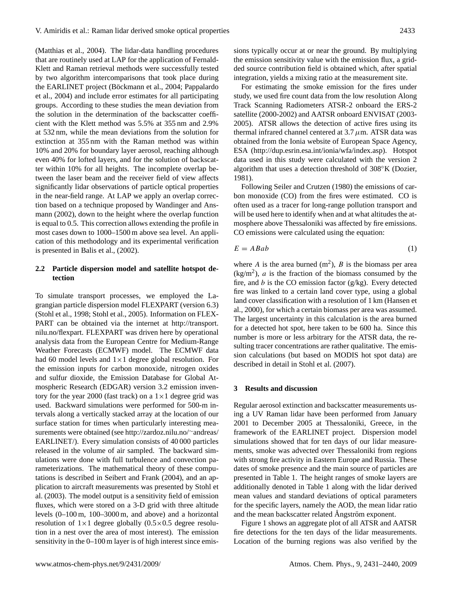(Matthias et al., 2004). The lidar-data handling procedures that are routinely used at LAP for the application of Fernald-Klett and Raman retrieval methods were successfully tested by two algorithm intercomparisons that took place during the EARLINET project (Böckmann et al., 2004; Pappalardo et al., 2004) and include error estimates for all participating groups. According to these studies the mean deviation from the solution in the determination of the backscatter coefficient with the Klett method was 5.5% at 355 nm and 2.9% at 532 nm, while the mean deviations from the solution for extinction at 355 nm with the Raman method was within 10% and 20% for boundary layer aerosol, reaching although even 40% for lofted layers, and for the solution of backscatter within 10% for all heights. The incomplete overlap between the laser beam and the receiver field of view affects significantly lidar observations of particle optical properties in the near-field range. At LAP we apply an overlap correction based on a technique proposed by Wandinger and Ansmann (2002), down to the height where the overlap function is equal to 0.5. This correction allows extending the profile in most cases down to 1000–1500 m above sea level. An application of this methodology and its experimental verification is presented in Balis et al., (2002).

# **2.2 Particle dispersion model and satellite hotspot detection**

To simulate transport processes, we employed the Lagrangian particle dispersion model FLEXPART (version 6.3) (Stohl et al., 1998; Stohl et al., 2005). Information on FLEX-PART can be obtained via the internet at [http://transport.](http://transport.nilu.no/flexpart) [nilu.no/flexpart.](http://transport.nilu.no/flexpart) FLEXPART was driven here by operational analysis data from the European Centre for Medium-Range Weather Forecasts (ECMWF) model. The ECMWF data had 60 model levels and  $1 \times 1$  degree global resolution. For the emission inputs for carbon monoxide, nitrogen oxides and sulfur dioxide, the Emission Database for Global Atmospheric Research (EDGAR) version 3.2 emission inventory for the year 2000 (fast track) on a  $1 \times 1$  degree grid was used. Backward simulations were performed for 500-m intervals along a vertically stacked array at the location of our surface station for times when particularly interesting measurements were obtained (see [http://zardoz.nilu.no/](http://zardoz.nilu.no/~andreas/EARLINET/)∼andreas/ [EARLINET/\)](http://zardoz.nilu.no/~andreas/EARLINET/). Every simulation consists of 40 000 particles released in the volume of air sampled. The backward simulations were done with full turbulence and convection parameterizations. The mathematical theory of these computations is described in Seibert and Frank (2004), and an application to aircraft measurements was presented by Stohl et al. (2003). The model output is a sensitivity field of emission fluxes, which were stored on a 3-D grid with three altitude levels (0–100 m, 100–3000 m, and above) and a horizontal resolution of  $1 \times 1$  degree globally  $(0.5 \times 0.5$  degree resolution in a nest over the area of most interest). The emission sensitivity in the 0–100 m layer is of high interest since emissions typically occur at or near the ground. By multiplying the emission sensitivity value with the emission flux, a gridded source contribution field is obtained which, after spatial integration, yields a mixing ratio at the measurement site.

For estimating the smoke emission for the fires under study, we used fire count data from the low resolution Along Track Scanning Radiometers ATSR-2 onboard the ERS-2 satellite (2000-2002) and AATSR onboard ENVISAT (2003- 2005). ATSR allows the detection of active fires using its thermal infrared channel centered at  $3.7 \mu$ m. ATSR data was obtained from the Ionia website of European Space Agency, ESA [\(http://dup.esrin.esa.int/ionia/wfa/index.asp\)](http://dup.esrin.esa.int/ionia/wfa/index.asp). Hotspot data used in this study were calculated with the version 2 algorithm that uses a detection threshold of 308◦K (Dozier, 1981).

Following Seiler and Crutzen (1980) the emissions of carbon monoxide (CO) from the fires were estimated. CO is often used as a tracer for long-range pollution transport and will be used here to identify when and at what altitudes the atmosphere above Thessaloniki was affected by fire emissions. CO emissions were calculated using the equation:

$$
E = A B a b \tag{1}
$$

where A is the area burned  $(m^2)$ , B is the biomass per area  $(kg/m<sup>2</sup>)$ , *a* is the fraction of the biomass consumed by the fire, and  $b$  is the CO emission factor (g/kg). Every detected fire was linked to a certain land cover type, using a global land cover classification with a resolution of 1 km (Hansen et al., 2000), for which a certain biomass per area was assumed. The largest uncertainty in this calculation is the area burned for a detected hot spot, here taken to be 600 ha. Since this number is more or less arbitrary for the ATSR data, the resulting tracer concentrations are rather qualitative. The emission calculations (but based on MODIS hot spot data) are described in detail in Stohl et al. (2007).

## **3 Results and discussion**

Regular aerosol extinction and backscatter measurements using a UV Raman lidar have been performed from January 2001 to December 2005 at Thessaloniki, Greece, in the framework of the EARLINET project. Dispersion model simulations showed that for ten days of our lidar measurements, smoke was advected over Thessaloniki from regions with strong fire activity in Eastern Europe and Russia. These dates of smoke presence and the main source of particles are presented in Table 1. The height ranges of smoke layers are additionally denoted in Table 1 along with the lidar derived mean values and standard deviations of optical parameters for the specific layers, namely the AOD, the mean lidar ratio and the mean backscatter related Ångström exponent.

Figure 1 shows an aggregate plot of all ATSR and AATSR fire detections for the ten days of the lidar measurements. Location of the burning regions was also verified by the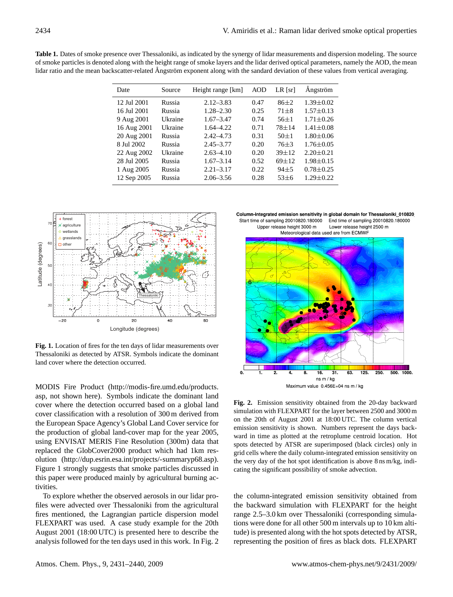**Table 1.** Dates of smoke presence over Thessaloniki, as indicated by the synergy of lidar measurements and dispersion modeling. The source of smoke particles is denoted along with the height range of smoke layers and the lidar derived optical parameters, namely the AOD, the mean lidar ratio and the mean backscatter-related Ångström exponent along with the sandard deviation of these values from vertical averaging.

| Date        | Source         | Height range [km] | AOD  | $LR$ [sr] | Ångström        |
|-------------|----------------|-------------------|------|-----------|-----------------|
| 12 Jul 2001 | Russia         | $2.12 - 3.83$     | 0.47 | $86+2$    | $1.39 \pm 0.02$ |
| 16 Jul 2001 | Russia         | $1.28 - 2.30$     | 0.25 | $71 + 8$  | $1.57 \pm 0.13$ |
| 9 Aug 2001  | Ukraine        | $1.67 - 3.47$     | 0.74 | $56 + 1$  | $1.71 \pm 0.26$ |
| 16 Aug 2001 | <b>Ukraine</b> | $1.64 - 4.22$     | 0.71 | $78 + 14$ | $1.41 \pm 0.08$ |
| 20 Aug 2001 | Russia         | $2.42 - 4.73$     | 0.31 | $50+1$    | $1.80 \pm 0.06$ |
| 8 Jul 2002  | Russia         | $2.45 - 3.77$     | 0.20 | $76 + 3$  | $1.76 \pm 0.05$ |
| 22 Aug 2002 | Ukraine        | $2.63 - 4.10$     | 0.20 | $39 + 12$ | $2.20 \pm 0.21$ |
| 28 Jul 2005 | Russia         | $1.67 - 3.14$     | 0.52 | $69 + 12$ | $1.98 \pm 0.15$ |
| 1 Aug 2005  | Russia         | $2.21 - 3.17$     | 0.22 | $94 + 5$  | $0.78 \pm 0.25$ |
| 12 Sep 2005 | Russia         | $2.06 - 3.56$     | 0.28 | $53 + 6$  | $1.29 \pm 0.22$ |
|             |                |                   |      |           |                 |



**Fig. 1.** Location of fires for the ten days of lidar measurements over Thessaloniki as detected by ATSR. Symbols indicate the dominant land cover where the detection occurred.

MODIS Fire Product [\(http://modis-fire.umd.edu/products.](http://modis-fire.umd.edu/products.asp) [asp,](http://modis-fire.umd.edu/products.asp) not shown here). Symbols indicate the dominant land cover where the detection occurred based on a global land cover classification with a resolution of 300 m derived from the European Space Agency's Global Land Cover service for the production of global land-cover map for the year 2005, using ENVISAT MERIS Fine Resolution (300m) data that replaced the GlobCover2000 product which had 1km resolution [\(http://dup.esrin.esa.int/projects/-summaryp68.asp\)](http://dup.esrin.esa.int/projects/-summaryp68.asp). Figure 1 strongly suggests that smoke particles discussed in this paper were produced mainly by agricultural burning activities.

To explore whether the observed aerosols in our lidar profiles were advected over Thessaloniki from the agricultural fires mentioned, the Lagrangian particle dispersion model FLEXPART was used. A case study example for the 20th August 2001 (18:00 UTC) is presented here to describe the analysis followed for the ten days used in this work. In Fig. 2

Column-Integrated emission sensitivity in global domain for Thessaloniki\_010820

Start time of sampling 20010820 180000 End time of sampling 20010820.180000 Upper release height 3000 m Lower release height 2500 m Meteorological data used are from ECMWF



**Fig. 2.** Emission sensitivity obtained from the 20-day backward simulation with FLEXPART for the layer between 2500 and 3000 m on the 20th of August 2001 at 18:00 UTC. The column vertical emission sensitivity is shown. Numbers represent the days backward in time as plotted at the retroplume centroid location. Hot spots detected by ATSR are superimposed (black circles) only in grid cells where the daily column-integrated emission sensitivity on the very day of the hot spot identification is above 8 ns m/kg, indicating the significant possibility of smoke advection.

the column-integrated emission sensitivity obtained from the backward simulation with FLEXPART for the height range 2.5–3.0 km over Thessaloniki (corresponding simulations were done for all other 500 m intervals up to 10 km altitude) is presented along with the hot spots detected by ATSR, representing the position of fires as black dots. FLEXPART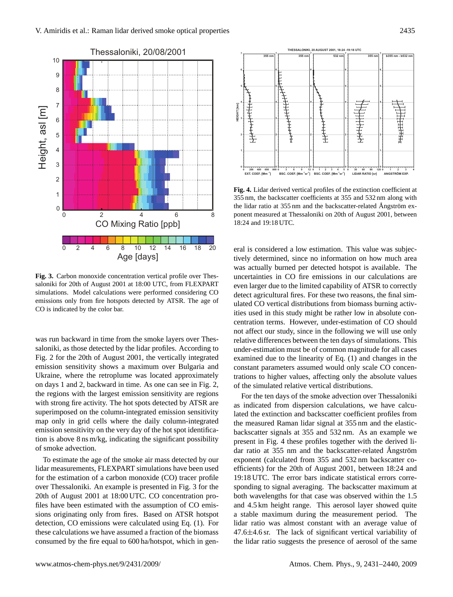

**Fig. 3.** Carbon monoxide concentration vertical profile over Thessaloniki for 20th of August 2001 at 18:00 UTC, from FLEXPART simulations. Model calculations were performed considering CO emissions only from fire hotspots detected by ATSR. The age of CO is indicated by the color bar.

was run backward in time from the smoke layers over Thessaloniki, as those detected by the lidar profiles. According to Fig. 2 for the 20th of August 2001, the vertically integrated emission sensitivity shows a maximum over Bulgaria and Ukraine, where the retroplume was located approximately on days 1 and 2, backward in time. As one can see in Fig. 2, the regions with the largest emission sensitivity are regions with strong fire activity. The hot spots detected by ATSR are superimposed on the column-integrated emission sensitivity map only in grid cells where the daily column-integrated emission sensitivity on the very day of the hot spot identification is above 8 ns m/kg, indicating the significant possibility of smoke advection.

To estimate the age of the smoke air mass detected by our lidar measurements, FLEXPART simulations have been used for the estimation of a carbon monoxide (CO) tracer profile over Thessaloniki. An example is presented in Fig. 3 for the 20th of August 2001 at 18:00 UTC. CO concentration profiles have been estimated with the assumption of CO emissions originating only from fires. Based on ATSR hotspot detection, CO emissions were calculated using Eq. (1). For these calculations we have assumed a fraction of the biomass consumed by the fire equal to 600 ha/hotspot, which in gen-



**Fig. 4.** Lidar derived vertical profiles of the extinction coefficient at 355 nm, the backscatter coefficients at 355 and 532 nm along with the lidar ratio at 355 nm and the backscatter-related Angström exponent measured at Thessaloniki on 20th of August 2001, between 18:24 and 19:18 UTC.

eral is considered a low estimation. This value was subjectively determined, since no information on how much area was actually burned per detected hotspot is available. The uncertainties in CO fire emissions in our calculations are even larger due to the limited capability of ATSR to correctly detect agricultural fires. For these two reasons, the final simulated CO vertical distributions from biomass burning activities used in this study might be rather low in absolute concentration terms. However, under-estimation of CO should not affect our study, since in the following we will use only relative differences between the ten days of simulations. This under-estimation must be of common magnitude for all cases examined due to the linearity of Eq. (1) and changes in the constant parameters assumed would only scale CO concentrations to higher values, affecting only the absolute values of the simulated relative vertical distributions.

For the ten days of the smoke advection over Thessaloniki as indicated from dispersion calculations, we have calculated the extinction and backscatter coefficient profiles from the measured Raman lidar signal at 355 nm and the elasticbackscatter signals at 355 and 532 nm. As an example we present in Fig. 4 these profiles together with the derived lidar ratio at  $355$  nm and the backscatter-related Ångström exponent (calculated from 355 and 532 nm backscatter coefficients) for the 20th of August 2001, between 18:24 and 19:18 UTC. The error bars indicate statistical errors corresponding to signal averaging. The backscatter maximum at both wavelengths for that case was observed within the 1.5 and 4.5 km height range. This aerosol layer showed quite a stable maximum during the measurement period. The lidar ratio was almost constant with an average value of 47.6±4.6 sr. The lack of significant vertical variability of the lidar ratio suggests the presence of aerosol of the same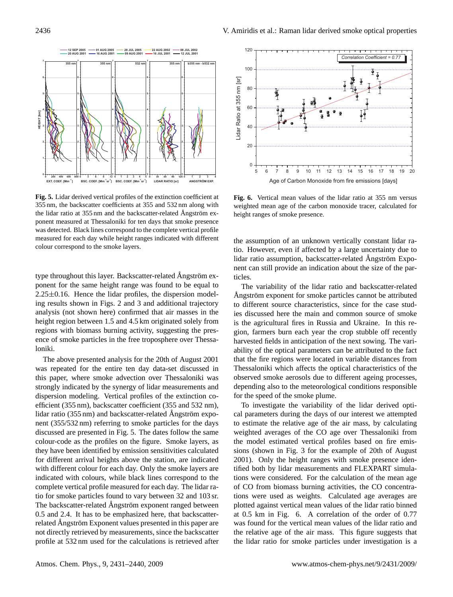

**Fig. 5.** Lidar derived vertical profiles of the extinction coefficient at 355 nm, the backscatter coefficients at 355 and 532 nm along with the lidar ratio at 355 nm and the backscatter-related Ångström exponent measured at Thessaloniki for ten days that smoke presence was detected. Black lines correspond to the complete vertical profile measured for each day while height ranges indicated with different colour correspond to the smoke layers.

type throughout this layer. Backscatter-related Angström exponent for the same height range was found to be equal to  $2.25\pm0.16$ . Hence the lidar profiles, the dispersion modeling results shown in Figs. 2 and 3 and additional trajectory analysis (not shown here) confirmed that air masses in the height region between 1.5 and 4.5 km originated solely from regions with biomass burning activity, suggesting the presence of smoke particles in the free troposphere over Thessaloniki.

The above presented analysis for the 20th of August 2001 was repeated for the entire ten day data-set discussed in this paper, where smoke advection over Thessaloniki was strongly indicated by the synergy of lidar measurements and dispersion modeling. Vertical profiles of the extinction coefficient (355 nm), backscatter coefficient (355 and 532 nm), lidar ratio (355 nm) and backscatter-related Angström exponent (355/532 nm) referring to smoke particles for the days discussed are presented in Fig. 5. The dates follow the same colour-code as the profiles on the figure. Smoke layers, as they have been identified by emission sensitivities calculated for different arrival heights above the station, are indicated with different colour for each day. Only the smoke layers are indicated with colours, while black lines correspond to the complete vertical profile measured for each day. The lidar ratio for smoke particles found to vary between 32 and 103 sr. The backscatter-related Angström exponent ranged between 0.5 and 2.4. It has to be emphasized here, that backscatterrelated Ångström Exponent values presented in this paper are not directly retrieved by measurements, since the backscatter profile at 532 nm used for the calculations is retrieved after



**Fig. 6.** Vertical mean values of the lidar ratio at 355 nm versus weighted mean age of the carbon monoxide tracer, calculated for height ranges of smoke presence.

the assumption of an unknown vertically constant lidar ratio. However, even if affected by a large uncertainty due to lidar ratio assumption, backscatter-related Ångström Exponent can still provide an indication about the size of the particles.

The variability of the lidar ratio and backscatter-related Ångström exponent for smoke particles cannot be attributed to different source characteristics, since for the case studies discussed here the main and common source of smoke is the agricultural fires in Russia and Ukraine. In this region, farmers burn each year the crop stubble off recently harvested fields in anticipation of the next sowing. The variability of the optical parameters can be attributed to the fact that the fire regions were located in variable distances from Thessaloniki which affects the optical characteristics of the observed smoke aerosols due to different ageing processes, depending also to the meteorological conditions responsible for the speed of the smoke plume.

To investigate the variability of the lidar derived optical parameters during the days of our interest we attempted to estimate the relative age of the air mass, by calculating weighted averages of the CO age over Thessaloniki from the model estimated vertical profiles based on fire emissions (shown in Fig. 3 for the example of 20th of August 2001). Only the height ranges with smoke presence identified both by lidar measurements and FLEXPART simulations were considered. For the calculation of the mean age of CO from biomass burning activities, the CO concentrations were used as weights. Calculated age averages are plotted against vertical mean values of the lidar ratio binned at 0.5 km in Fig. 6. A correlation of the order of 0.77 was found for the vertical mean values of the lidar ratio and the relative age of the air mass. This figure suggests that the lidar ratio for smoke particles under investigation is a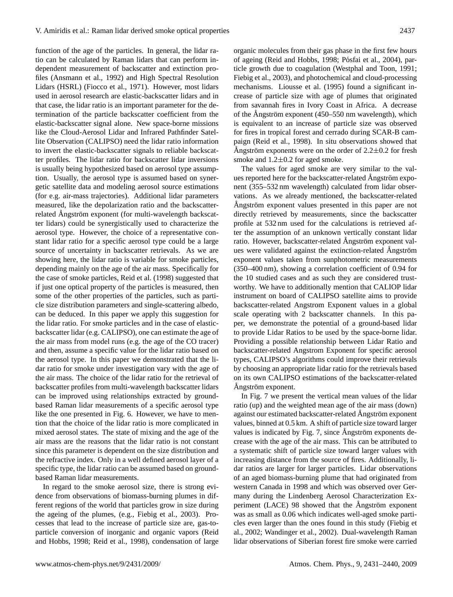function of the age of the particles. In general, the lidar ratio can be calculated by Raman lidars that can perform independent measurement of backscatter and extinction profiles (Ansmann et al., 1992) and High Spectral Resolution Lidars (HSRL) (Fiocco et al., 1971). However, most lidars used in aerosol research are elastic-backscatter lidars and in that case, the lidar ratio is an important parameter for the determination of the particle backscatter coefficient from the elastic-backscatter signal alone. New space-borne missions like the Cloud-Aerosol Lidar and Infrared Pathfinder Satellite Observation (CALIPSO) need the lidar ratio information to invert the elastic-backscatter signals to reliable backscatter profiles. The lidar ratio for backscatter lidar inversions is usually being hypothesized based on aerosol type assumption. Usually, the aerosol type is assumed based on synergetic satellite data and modeling aerosol source estimations (for e.g. air-mass trajectories). Additional lidar parameters measured, like the depolarization ratio and the backscatterrelated Ångström exponent (for multi-wavelength backscatter lidars) could be synergistically used to characterize the aerosol type. However, the choice of a representative constant lidar ratio for a specific aerosol type could be a large source of uncertainty in backscatter retrievals. As we are showing here, the lidar ratio is variable for smoke particles, depending mainly on the age of the air mass. Specifically for the case of smoke particles, Reid et al. (1998) suggested that if just one optical property of the particles is measured, then some of the other properties of the particles, such as particle size distribution parameters and single-scattering albedo, can be deduced. In this paper we apply this suggestion for the lidar ratio. For smoke particles and in the case of elasticbackscatter lidar (e.g. CALIPSO), one can estimate the age of the air mass from model runs (e.g. the age of the CO tracer) and then, assume a specific value for the lidar ratio based on the aerosol type. In this paper we demonstrated that the lidar ratio for smoke under investigation vary with the age of the air mass. The choice of the lidar ratio for the retrieval of backscatter profiles from multi-wavelength backscatter lidars can be improved using relationships extracted by groundbased Raman lidar measurements of a specific aerosol type like the one presented in Fig. 6. However, we have to mention that the choice of the lidar ratio is more complicated in mixed aerosol states. The state of mixing and the age of the air mass are the reasons that the lidar ratio is not constant since this parameter is dependent on the size distribution and the refractive index. Only in a well defined aerosol layer of a specific type, the lidar ratio can be assumed based on groundbased Raman lidar measurements.

In regard to the smoke aerosol size, there is strong evidence from observations of biomass-burning plumes in different regions of the world that particles grow in size during the ageing of the plumes, (e.g., Fiebig et al., 2003). Processes that lead to the increase of particle size are, gas-toparticle conversion of inorganic and organic vapors (Reid and Hobbs, 1998; Reid et al., 1998), condensation of large

organic molecules from their gas phase in the first few hours of ageing (Reid and Hobbs, 1998; Pósfai et al., 2004), particle growth due to coagulation (Westphal and Toon, 1991; Fiebig et al., 2003), and photochemical and cloud-processing mechanisms. Liousse et al. (1995) found a significant increase of particle size with age of plumes that originated from savannah fires in Ivory Coast in Africa. A decrease of the Angström exponent  $(450-550 \text{ nm}$  wavelength), which is equivalent to an increase of particle size was observed for fires in tropical forest and cerrado during SCAR-B campaign (Reid et al., 1998). In situ observations showed that Angström exponents were on the order of  $2.2 \pm 0.2$  for fresh smoke and  $1.2 \pm 0.2$  for aged smoke.

The values for aged smoke are very similar to the values reported here for the backscatter-related Angström exponent (355–532 nm wavelength) calculated from lidar observations. As we already mentioned, the backscatter-related Angström exponent values presented in this paper are not directly retrieved by measurements, since the backscatter profile at 532 nm used for the calculations is retrieved after the assumption of an unknown vertically constant lidar ratio. However, backscatter-related Ångström exponent values were validated against the extinction-related Angström exponent values taken from sunphotometric measurements (350–400 nm), showing a correlation coefficient of 0.94 for the 10 studied cases and as such they are considered trustworthy. We have to additionally mention that CALIOP lidar instrument on board of CALIPSO satellite aims to provide backscatter-related Angstrom Exponent values in a global scale operating with 2 backscatter channels. In this paper, we demonstrate the potential of a ground-based lidar to provide Lidar Ratios to be used by the space-borne lidar. Providing a possible relationship between Lidar Ratio and backscatter-related Angstrom Exponent for specific aerosol types, CALIPSO's algorithms could improve their retrievals by choosing an appropriate lidar ratio for the retrievals based on its own CALIPSO estimations of the backscatter-related Ångström exponent.

In Fig. 7 we present the vertical mean values of the lidar ratio (up) and the weighted mean age of the air mass (down) against our estimated backscatter-related Ångström exponent values, binned at 0.5 km. A shift of particle size toward larger values is indicated by Fig. 7, since Ångström exponents decrease with the age of the air mass. This can be attributed to a systematic shift of particle size toward larger values with increasing distance from the source of fires. Additionally, lidar ratios are larger for larger particles. Lidar observations of an aged biomass-burning plume that had originated from western Canada in 1998 and which was observed over Germany during the Lindenberg Aerosol Characterization Experiment (LACE) 98 showed that the Angström exponent was as small as 0.06 which indicates well-aged smoke particles even larger than the ones found in this study (Fiebig et al., 2002; Wandinger et al., 2002). Dual-wavelength Raman lidar observations of Siberian forest fire smoke were carried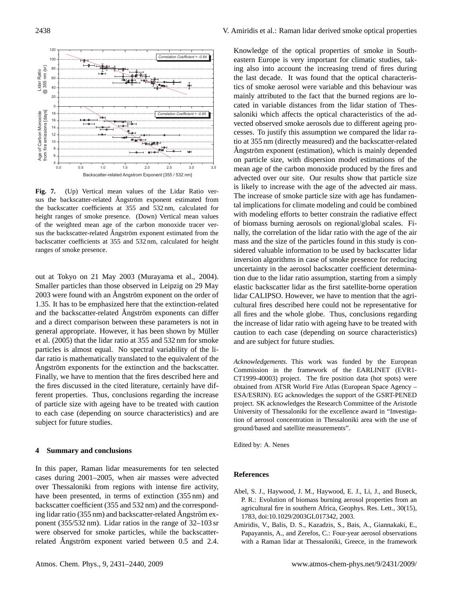

**Fig. 7.** (Up) Vertical mean values of the Lidar Ratio versus the backscatter-related Ångström exponent estimated from the backscatter coefficients at 355 and 532 nm, calculated for height ranges of smoke presence. (Down) Vertical mean values of the weighted mean age of the carbon monoxide tracer versus the backscatter-related Ångström exponent estimated from the backscatter coefficients at 355 and 532 nm, calculated for height ranges of smoke presence.

out at Tokyo on 21 May 2003 (Murayama et al., 2004). Smaller particles than those observed in Leipzig on 29 May 2003 were found with an Angström exponent on the order of 1.35. It has to be emphasized here that the extinction-related and the backscatter-related Ångström exponents can differ and a direct comparison between these parameters is not in general appropriate. However, it has been shown by Müller et al. (2005) that the lidar ratio at 355 and 532 nm for smoke particles is almost equal. No spectral variability of the lidar ratio is mathematically translated to the equivalent of the Angström exponents for the extinction and the backscatter. Finally, we have to mention that the fires described here and the fires discussed in the cited literature, certainly have different properties. Thus, conclusions regarding the increase of particle size with ageing have to be treated with caution to each case (depending on source characteristics) and are subject for future studies.

#### **4 Summary and conclusions**

In this paper, Raman lidar measurements for ten selected cases during 2001–2005, when air masses were advected over Thessaloniki from regions with intense fire activity, have been presented, in terms of extinction (355 nm) and backscatter coefficient (355 and 532 nm) and the corresponding lidar ratio (355 nm) and backscatter-related Ångström exponent (355/532 nm). Lidar ratios in the range of 32–103 sr were observed for smoke particles, while the backscatterrelated Ångström exponent varied between 0.5 and 2.4.

Knowledge of the optical properties of smoke in Southeastern Europe is very important for climatic studies, taking also into account the increasing trend of fires during the last decade. It was found that the optical characteristics of smoke aerosol were variable and this behaviour was mainly attributed to the fact that the burned regions are located in variable distances from the lidar station of Thessaloniki which affects the optical characteristics of the advected observed smoke aerosols due to different ageing processes. To justify this assumption we compared the lidar ratio at 355 nm (directly measured) and the backscatter-related Angström exponent (estimation), which is mainly depended on particle size, with dispersion model estimations of the mean age of the carbon monoxide produced by the fires and advected over our site. Our results show that particle size is likely to increase with the age of the advected air mass. The increase of smoke particle size with age has fundamental implications for climate modeling and could be combined with modeling efforts to better constrain the radiative effect of biomass burning aerosols on regional/global scales. Finally, the correlation of the lidar ratio with the age of the air mass and the size of the particles found in this study is considered valuable information to be used by backscatter lidar inversion algorithms in case of smoke presence for reducing uncertainty in the aerosol backscatter coefficient determination due to the lidar ratio assumption, starting from a simply elastic backscatter lidar as the first satellite-borne operation lidar CALIPSO. However, we have to mention that the agricultural fires described here could not be representative for all fires and the whole globe. Thus, conclusions regarding the increase of lidar ratio with ageing have to be treated with caution to each case (depending on source characteristics) and are subject for future studies.

*Acknowledgements.* This work was funded by the European Commission in the framework of the EARLINET (EVR1- CT1999-40003) project. The fire position data (hot spots) were obtained from ATSR World Fire Atlas (European Space Agency – ESA/ESRIN). EG acknowledges the support of the GSRT-PENED project. SK acknowledges the Research Committee of the Aristotle University of Thessaloniki for the excellence award in "Investigation of aerosol concentration in Thessaloniki area with the use of ground/based and satellite measurements".

Edited by: A. Nenes

## **References**

- Abel, S. J., Haywood, J. M., Haywood, E. J., Li, J., and Buseck, P. R.: Evolution of biomass burning aerosol properties from an agricultural fire in southern Africa, Geophys. Res. Lett., 30(15), 1783, doi:10.1029/2003GL017342, 2003.
- Amiridis, V., Balis, D. S., Kazadzis, S., Bais, A., Giannakaki, E., Papayannis, A., and Zerefos, C.: Four-year aerosol observations with a Raman lidar at Thessaloniki, Greece, in the framework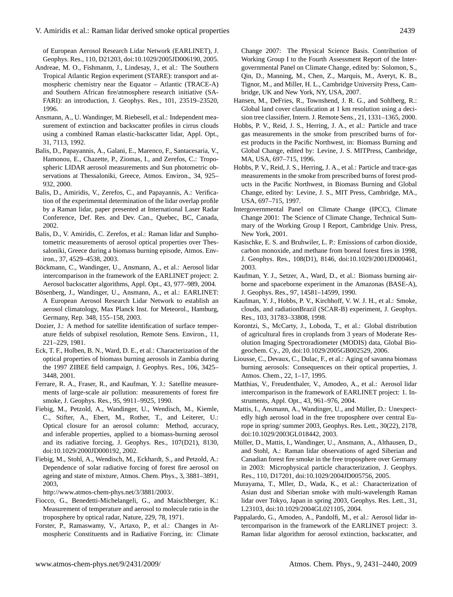of European Aerosol Research Lidar Network (EARLINET), J. Geophys. Res., 110, D21203, doi:10.1029/2005JD006190, 2005.

- Andreae, M. O., Fishmanm, J., Lindesay, J., et al.: The Southern Tropical Atlantic Region experiment (STARE): transport and atmospheric chemistry near the Equator – Atlantic (TRACE-A) and Southern African fire/atmosphere research initiative (SA-FARI): an introduction, J. Geophys. Res., 101, 23519–23520, 1996.
- Ansmann, A., U. Wandinger, M. Riebesell, et al.: Independent measurement of extinction and backscatter profiles in cirrus clouds using a combined Raman elastic-backscatter lidar, Appl. Opt., 31, 7113, 1992.
- Balis, D., Papayannis, A., Galani, E., Marenco, F., Santacesaria, V., Hamonou, E., Chazette, P., Ziomas, I., and Zerefos, C.: Tropospheric LIDAR aerosol measurements and Sun photometric observations at Thessaloniki, Greece, Atmos. Environ., 34, 925– 932, 2000.
- Balis, D., Amiridis, V., Zerefos, C., and Papayannis, A.: Verification of the experimental determination of the lidar overlap profile by a Raman lidar, paper presented at International Laser Radar Conference, Def. Res. and Dev. Can., Quebec, BC, Canada, 2002.
- Balis, D., V. Amiridis, C. Zerefos, et al.: Raman lidar and Sunphotometric measurements of aerosol optical properties over Thessaloniki, Greece during a biomass burning episode, Atmos. Environ., 37, 4529–4538, 2003.
- Böckmann, C., Wandinger, U., Ansmann, A., et al.: Aerosol lidar intercomparison in the framework of the EARLINET project: 2. Aerosol backscatter algorithms, Appl. Opt., 43, 977–989, 2004.
- Bösenberg, J., Wandinger, U., Ansmann, A., et al.: EARLINET: A European Aerosol Research Lidar Network to establish an aerosol climatology, Max Planck Inst. for Meteorol., Hamburg, Germany, Rep. 348, 155–158, 2003.
- Dozier, J.: A method for satellite identification of surface temperature fields of subpixel resolution, Remote Sens. Environ., 11, 221–229, 1981.
- Eck, T. F., Holben, B. N., Ward, D. E., et al.: Characterization of the optical properties of biomass burning aerosols in Zambia during the 1997 ZIBEE field campaign, J. Geophys. Res., 106, 3425– 3448, 2001.
- Ferrare, R. A., Fraser, R., and Kaufman, Y. J.: Satellite measurements of large-scale air pollution: measurements of forest fire smoke, J. Geophys. Res., 95, 9911–9925, 1990.
- Fiebig, M., Petzold, A., Wandinger, U., Wendisch, M., Kiemle, C., Stifter, A., Ebert, M., Rother, T., and Leiterer, U.: Optical closure for an aerosol column: Method, accuracy, and inferable properties, applied to a biomass-burning aerosol and its radiative forcing, J. Geophys. Res., 107(D21), 8130, doi:10.1029/2000JD000192, 2002.
- Fiebig, M., Stohl, A., Wendisch, M., Eckhardt, S., and Petzold, A.: Dependence of solar radiative forcing of forest fire aerosol on ageing and state of mixture, Atmos. Chem. Phys., 3, 3881–3891, 2003,

[http://www.atmos-chem-phys.net/3/3881/2003/.](http://www.atmos-chem-phys.net/3/3881/2003/)

- Fiocco, G., Benedetti-Michelangeli, G., and Maischberger, K.: Measurement of temperature and aerosol to molecule ratio in the troposphere by optical radar, Nature, 229, 78, 1971.
- Forster, P., Ramaswamy, V., Artaxo, P., et al.: Changes in Atmospheric Constituents and in Radiative Forcing, in: Climate

Change 2007: The Physical Science Basis. Contribution of Working Group I to the Fourth Assessment Report of the Intergovernmental Panel on Climate Change, edited by: Solomon, S., Qin, D., Manning, M., Chen, Z., Marquis, M., Averyt, K. B., Tignor, M., and Miller, H. L., Cambridge University Press, Cambridge, UK and New York, NY, USA, 2007.

- Hansen, M., DeFries, R., Townshend, J. R. G., and Sohlberg, R.: Global land cover classification at 1 km resolution using a decision tree classifier, Intern. J. Remote Sens., 21, 1331–1365, 2000.
- Hobbs, P. V., Reid, J. S., Herring, J. A., et al.: Particle and trace gas measurements in the smoke from prescribed burns of forest products in the Pacific Northwest, in: Biomass Burning and Global Change, edited by: Levine, J. S. MITPress, Cambridge, MA, USA, 697–715, 1996.
- Hobbs, P. V., Reid, J. S., Herring, J. A., et al.: Particle and trace-gas measurements in the smoke from prescribed burns of forest products in the Pacific Northwest, in Biomass Burning and Global Change, edited by: Levine, J. S., MIT Press, Cambridge, MA., USA, 697–715, 1997.
- Intergovernmental Panel on Climate Change (IPCC), Climate Change 2001: The Science of Climate Change, Technical Summary of the Working Group I Report, Cambridge Univ. Press, New York, 2001.
- Kasischke, E. S. and Bruhwiler, L. P.: Emissions of carbon dioxide, carbon monoxide, and methane from boreal forest fires in 1998, J. Geophys. Res., 108(D1), 8146, doi:10.1029/2001JD000461, 2003.
- Kaufman, Y. J., Setzer, A., Ward, D., et al.: Biomass burning airborne and spaceborne experiment in the Amazonas (BASE-A), J. Geophys. Res., 97, 14581–14599, 1990.
- Kaufman, Y. J., Hobbs, P. V., Kirchhoff, V. W. J. H., et al.: Smoke, clouds, and radiationBrazil (SCAR-B) experiment, J. Geophys. Res., 103, 31783–33808, 1998.
- Korontzi, S., McCarty, J., Loboda, T., et al.: Global distribution of agricultural fires in croplands from 3 years of Moderate Resolution Imaging Spectroradiometer (MODIS) data, Global Biogeochem. Cy., 20, doi:10.1029/2005GB002529, 2006.
- Liousse, C., Devaux, C., Dulac, F., et al.: Aging of savanna biomass burning aerosols: Consequences on their optical properties, J. Atmos. Chem., 22, 1–17, 1995.
- Matthias, V., Freudenthaler, V., Amodeo, A., et al.: Aerosol lidar intercomparison in the framework of EARLINET project: 1. Instruments, Appl. Opt., 43, 961–976, 2004.
- Mattis, I., Ansmann, A., Wandinger, U., and Müller, D.: Unexpectedly high aerosol load in the free troposphere over central Europe in spring/ summer 2003, Geophys. Res. Lett., 30(22), 2178, doi:10.1029/2003GL018442, 2003.
- Müller, D., Mattis, I., Wandinger, U., Ansmann, A., Althausen, D., and Stohl, A.: Raman lidar observations of aged Siberian and Canadian forest fire smoke in the free troposphere over Germany in 2003: Microphysical particle characterization, J. Geophys. Res., 110, D17201, doi:10.1029/2004JD005756, 2005.
- Murayama, T., Mller, D., Wada, K., et al.: Characterization of Asian dust and Siberian smoke with multi-wavelength Raman lidar over Tokyo, Japan in spring 2003, Geophys. Res. Lett., 31, L23103, doi:10.1029/2004GL021105, 2004.
- Pappalardo, G., Amodeo, A., Pandolfi, M., et al.: Aerosol lidar intercomparison in the framework of the EARLINET project: 3. Raman lidar algorithm for aerosol extinction, backscatter, and